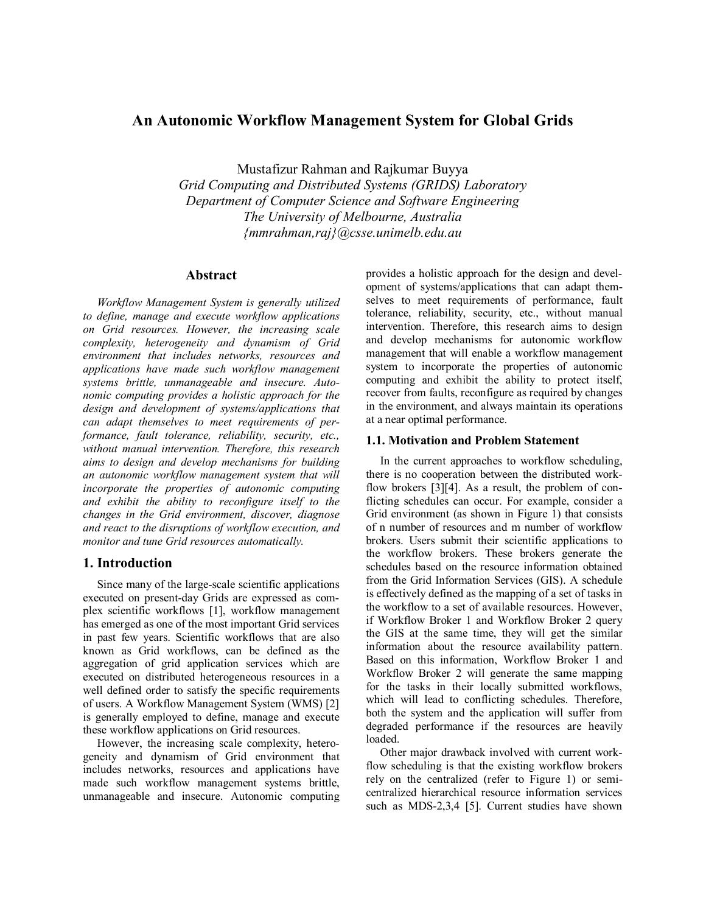# **An Autonomic Workflow Management System for Global Grids**

Mustafizur Rahman and Rajkumar Buyya *Grid Computing and Distributed Systems (GRIDS) Laboratory Department of Computer Science and Software Engineering The University of Melbourne, Australia {mmrahman,raj}@csse.unimelb.edu.au* 

# **Abstract**

*Workflow Management System is generally utilized to define, manage and execute workflow applications on Grid resources. However, the increasing scale complexity, heterogeneity and dynamism of Grid environment that includes networks, resources and applications have made such workflow management systems brittle, unmanageable and insecure. Autonomic computing provides a holistic approach for the design and development of systems/applications that can adapt themselves to meet requirements of performance, fault tolerance, reliability, security, etc., without manual intervention. Therefore, this research aims to design and develop mechanisms for building an autonomic workflow management system that will incorporate the properties of autonomic computing and exhibit the ability to reconfigure itself to the changes in the Grid environment, discover, diagnose and react to the disruptions of workflow execution, and monitor and tune Grid resources automatically.* 

# **1. Introduction**

Since many of the large-scale scientific applications executed on present-day Grids are expressed as complex scientific workflows [1], workflow management has emerged as one of the most important Grid services in past few years. Scientific workflows that are also known as Grid workflows, can be defined as the aggregation of grid application services which are executed on distributed heterogeneous resources in a well defined order to satisfy the specific requirements of users. A Workflow Management System (WMS) [2] is generally employed to define, manage and execute these workflow applications on Grid resources.

However, the increasing scale complexity, heterogeneity and dynamism of Grid environment that includes networks, resources and applications have made such workflow management systems brittle, unmanageable and insecure. Autonomic computing provides a holistic approach for the design and development of systems/applications that can adapt themselves to meet requirements of performance, fault tolerance, reliability, security, etc., without manual intervention. Therefore, this research aims to design and develop mechanisms for autonomic workflow management that will enable a workflow management system to incorporate the properties of autonomic computing and exhibit the ability to protect itself, recover from faults, reconfigure as required by changes in the environment, and always maintain its operations at a near optimal performance.

### **1.1. Motivation and Problem Statement**

In the current approaches to workflow scheduling, there is no cooperation between the distributed workflow brokers [3][4]. As a result, the problem of conflicting schedules can occur. For example, consider a Grid environment (as shown in Figure 1) that consists of n number of resources and m number of workflow brokers. Users submit their scientific applications to the workflow brokers. These brokers generate the schedules based on the resource information obtained from the Grid Information Services (GIS). A schedule is effectively defined as the mapping of a set of tasks in the workflow to a set of available resources. However, if Workflow Broker 1 and Workflow Broker 2 query the GIS at the same time, they will get the similar information about the resource availability pattern. Based on this information, Workflow Broker 1 and Workflow Broker 2 will generate the same mapping for the tasks in their locally submitted workflows, which will lead to conflicting schedules. Therefore, both the system and the application will suffer from degraded performance if the resources are heavily loaded.

Other major drawback involved with current workflow scheduling is that the existing workflow brokers rely on the centralized (refer to Figure 1) or semicentralized hierarchical resource information services such as MDS-2,3,4 [5]. Current studies have shown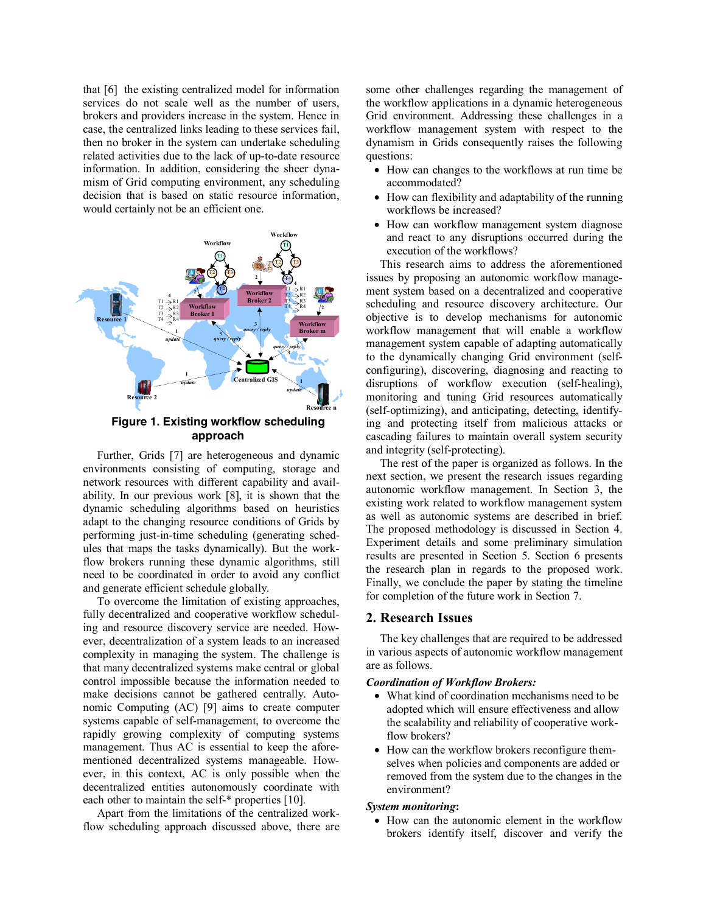that [6] the existing centralized model for information services do not scale well as the number of users, brokers and providers increase in the system. Hence in case, the centralized links leading to these services fail, then no broker in the system can undertake scheduling related activities due to the lack of up-to-date resource information. In addition, considering the sheer dynamism of Grid computing environment, any scheduling decision that is based on static resource information, would certainly not be an efficient one.



**Figure 1. Existing workflow scheduling approach**

Further, Grids [7] are heterogeneous and dynamic environments consisting of computing, storage and network resources with different capability and availability. In our previous work [8], it is shown that the dynamic scheduling algorithms based on heuristics adapt to the changing resource conditions of Grids by performing just-in-time scheduling (generating schedules that maps the tasks dynamically). But the workflow brokers running these dynamic algorithms, still need to be coordinated in order to avoid any conflict and generate efficient schedule globally.

To overcome the limitation of existing approaches, fully decentralized and cooperative workflow scheduling and resource discovery service are needed. However, decentralization of a system leads to an increased complexity in managing the system. The challenge is that many decentralized systems make central or global control impossible because the information needed to make decisions cannot be gathered centrally. Autonomic Computing (AC) [9] aims to create computer systems capable of self-management, to overcome the rapidly growing complexity of computing systems management. Thus AC is essential to keep the aforementioned decentralized systems manageable. However, in this context, AC is only possible when the decentralized entities autonomously coordinate with each other to maintain the self-\* properties [10].

Apart from the limitations of the centralized workflow scheduling approach discussed above, there are some other challenges regarding the management of the workflow applications in a dynamic heterogeneous Grid environment. Addressing these challenges in a workflow management system with respect to the dynamism in Grids consequently raises the following questions:

- How can changes to the workflows at run time be accommodated?
- How can flexibility and adaptability of the running workflows be increased?
- How can workflow management system diagnose and react to any disruptions occurred during the execution of the workflows?

This research aims to address the aforementioned issues by proposing an autonomic workflow management system based on a decentralized and cooperative scheduling and resource discovery architecture. Our objective is to develop mechanisms for autonomic workflow management that will enable a workflow management system capable of adapting automatically to the dynamically changing Grid environment (selfconfiguring), discovering, diagnosing and reacting to disruptions of workflow execution (self-healing), monitoring and tuning Grid resources automatically (self-optimizing), and anticipating, detecting, identifying and protecting itself from malicious attacks or cascading failures to maintain overall system security and integrity (self-protecting).

The rest of the paper is organized as follows. In the next section, we present the research issues regarding autonomic workflow management. In Section 3, the existing work related to workflow management system as well as autonomic systems are described in brief. The proposed methodology is discussed in Section 4. Experiment details and some preliminary simulation results are presented in Section 5. Section 6 presents the research plan in regards to the proposed work. Finally, we conclude the paper by stating the timeline for completion of the future work in Section 7.

### **2. Research Issues**

The key challenges that are required to be addressed in various aspects of autonomic workflow management are as follows.

#### *Coordination of Workflow Brokers:*

- What kind of coordination mechanisms need to be adopted which will ensure effectiveness and allow the scalability and reliability of cooperative workflow brokers?
- How can the workflow brokers reconfigure themselves when policies and components are added or removed from the system due to the changes in the environment?

#### *System monitoring***:**

• How can the autonomic element in the workflow brokers identify itself, discover and verify the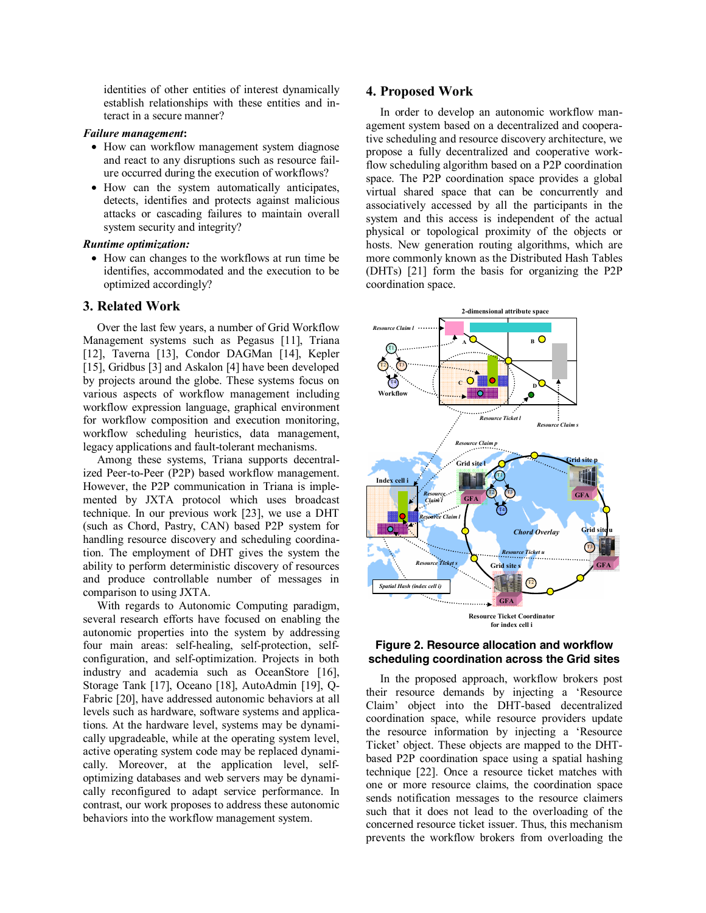identities of other entities of interest dynamically establish relationships with these entities and interact in a secure manner?

#### *Failure management***:**

- How can workflow management system diagnose and react to any disruptions such as resource failure occurred during the execution of workflows?
- How can the system automatically anticipates, detects, identifies and protects against malicious attacks or cascading failures to maintain overall system security and integrity?

#### *Runtime optimization:*

• How can changes to the workflows at run time be identifies, accommodated and the execution to be optimized accordingly?

# **3. Related Work**

Over the last few years, a number of Grid Workflow Management systems such as Pegasus [11], Triana [12], Taverna [13], Condor DAGMan [14], Kepler [15], Gridbus [3] and Askalon [4] have been developed by projects around the globe. These systems focus on various aspects of workflow management including workflow expression language, graphical environment for workflow composition and execution monitoring, workflow scheduling heuristics, data management, legacy applications and fault-tolerant mechanisms.

Among these systems, Triana supports decentralized Peer-to-Peer (P2P) based workflow management. However, the P2P communication in Triana is implemented by JXTA protocol which uses broadcast technique. In our previous work [23], we use a DHT (such as Chord, Pastry, CAN) based P2P system for handling resource discovery and scheduling coordination. The employment of DHT gives the system the ability to perform deterministic discovery of resources and produce controllable number of messages in comparison to using JXTA.

With regards to Autonomic Computing paradigm, several research efforts have focused on enabling the autonomic properties into the system by addressing four main areas: self-healing, self-protection, selfconfiguration, and self-optimization. Projects in both industry and academia such as OceanStore [16], Storage Tank [17], Oceano [18], AutoAdmin [19], Q-Fabric [20], have addressed autonomic behaviors at all levels such as hardware, software systems and applications. At the hardware level, systems may be dynamically upgradeable, while at the operating system level, active operating system code may be replaced dynamically. Moreover, at the application level, selfoptimizing databases and web servers may be dynamically reconfigured to adapt service performance. In contrast, our work proposes to address these autonomic behaviors into the workflow management system.

## **4. Proposed Work**

In order to develop an autonomic workflow management system based on a decentralized and cooperative scheduling and resource discovery architecture, we propose a fully decentralized and cooperative workflow scheduling algorithm based on a P2P coordination space. The P2P coordination space provides a global virtual shared space that can be concurrently and associatively accessed by all the participants in the system and this access is independent of the actual physical or topological proximity of the objects or hosts. New generation routing algorithms, which are more commonly known as the Distributed Hash Tables (DHTs) [21] form the basis for organizing the P2P coordination space.



# **Figure 2. Resource allocation and workflow scheduling coordination across the Grid sites**

In the proposed approach, workflow brokers post their resource demands by injecting a 'Resource Claim' object into the DHT-based decentralized coordination space, while resource providers update the resource information by injecting a 'Resource Ticket' object. These objects are mapped to the DHTbased P2P coordination space using a spatial hashing technique [22]. Once a resource ticket matches with one or more resource claims, the coordination space sends notification messages to the resource claimers such that it does not lead to the overloading of the concerned resource ticket issuer. Thus, this mechanism prevents the workflow brokers from overloading the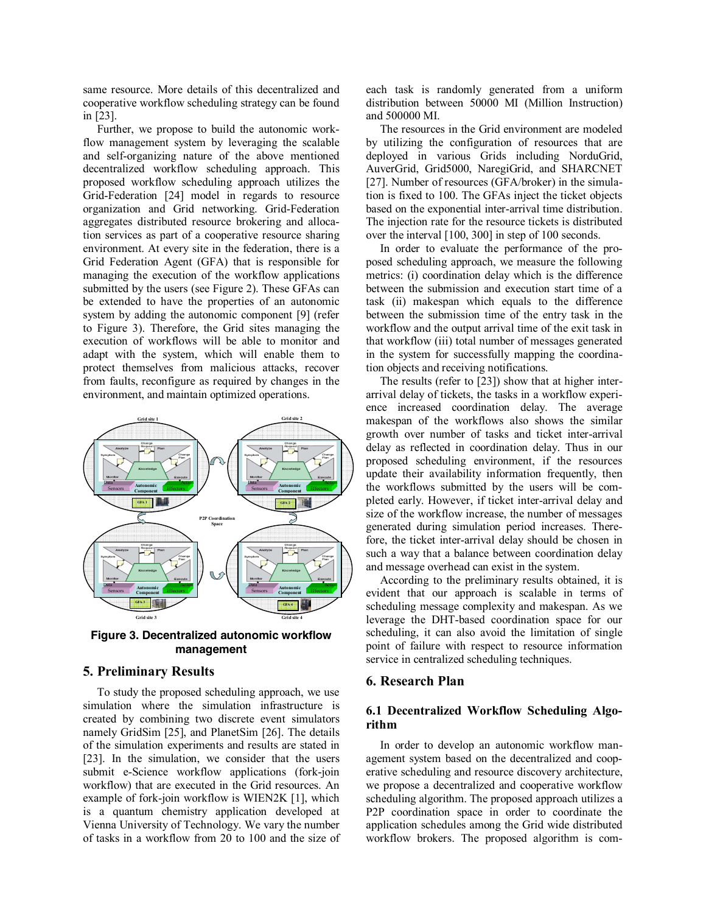same resource. More details of this decentralized and cooperative workflow scheduling strategy can be found in [23].

Further, we propose to build the autonomic workflow management system by leveraging the scalable and self-organizing nature of the above mentioned decentralized workflow scheduling approach. This proposed workflow scheduling approach utilizes the Grid-Federation [24] model in regards to resource organization and Grid networking. Grid-Federation aggregates distributed resource brokering and allocation services as part of a cooperative resource sharing environment. At every site in the federation, there is a Grid Federation Agent (GFA) that is responsible for managing the execution of the workflow applications submitted by the users (see Figure 2). These GFAs can be extended to have the properties of an autonomic system by adding the autonomic component [9] (refer to Figure 3). Therefore, the Grid sites managing the execution of workflows will be able to monitor and adapt with the system, which will enable them to protect themselves from malicious attacks, recover from faults, reconfigure as required by changes in the environment, and maintain optimized operations.



**Figure 3. Decentralized autonomic workflow management** 

# **5. Preliminary Results**

To study the proposed scheduling approach, we use simulation where the simulation infrastructure is created by combining two discrete event simulators namely GridSim [25], and PlanetSim [26]. The details of the simulation experiments and results are stated in [23]. In the simulation, we consider that the users submit e-Science workflow applications (fork-join workflow) that are executed in the Grid resources. An example of fork-join workflow is WIEN2K [1], which is a quantum chemistry application developed at Vienna University of Technology. We vary the number of tasks in a workflow from 20 to 100 and the size of each task is randomly generated from a uniform distribution between 50000 MI (Million Instruction) and 500000 MI.

The resources in the Grid environment are modeled by utilizing the configuration of resources that are deployed in various Grids including NorduGrid, AuverGrid, Grid5000, NaregiGrid, and SHARCNET [27]. Number of resources (GFA/broker) in the simulation is fixed to 100. The GFAs inject the ticket objects based on the exponential inter-arrival time distribution. The injection rate for the resource tickets is distributed over the interval [100, 300] in step of 100 seconds.

In order to evaluate the performance of the proposed scheduling approach, we measure the following metrics: (i) coordination delay which is the difference between the submission and execution start time of a task (ii) makespan which equals to the difference between the submission time of the entry task in the workflow and the output arrival time of the exit task in that workflow (iii) total number of messages generated in the system for successfully mapping the coordination objects and receiving notifications.

The results (refer to [23]) show that at higher interarrival delay of tickets, the tasks in a workflow experience increased coordination delay. The average makespan of the workflows also shows the similar growth over number of tasks and ticket inter-arrival delay as reflected in coordination delay. Thus in our proposed scheduling environment, if the resources update their availability information frequently, then the workflows submitted by the users will be completed early. However, if ticket inter-arrival delay and size of the workflow increase, the number of messages generated during simulation period increases. Therefore, the ticket inter-arrival delay should be chosen in such a way that a balance between coordination delay and message overhead can exist in the system.

According to the preliminary results obtained, it is evident that our approach is scalable in terms of scheduling message complexity and makespan. As we leverage the DHT-based coordination space for our scheduling, it can also avoid the limitation of single point of failure with respect to resource information service in centralized scheduling techniques.

## **6. Research Plan**

## **6.1 Decentralized Workflow Scheduling Algorithm**

In order to develop an autonomic workflow management system based on the decentralized and cooperative scheduling and resource discovery architecture, we propose a decentralized and cooperative workflow scheduling algorithm. The proposed approach utilizes a P2P coordination space in order to coordinate the application schedules among the Grid wide distributed workflow brokers. The proposed algorithm is com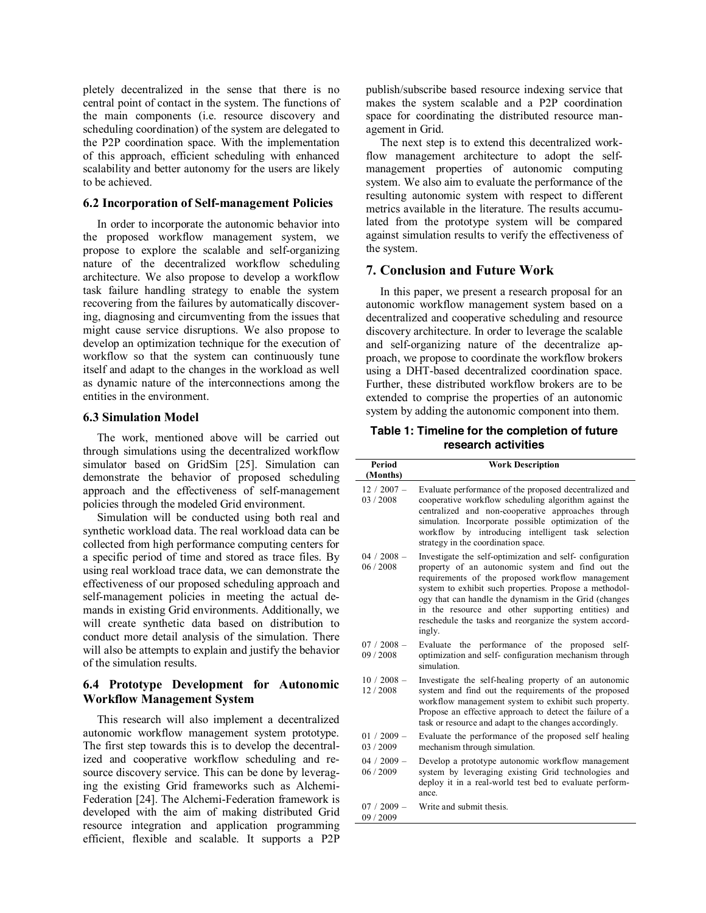pletely decentralized in the sense that there is no central point of contact in the system. The functions of the main components (i.e. resource discovery and scheduling coordination) of the system are delegated to the P2P coordination space. With the implementation of this approach, efficient scheduling with enhanced scalability and better autonomy for the users are likely to be achieved.

#### **6.2 Incorporation of Self-management Policies**

In order to incorporate the autonomic behavior into the proposed workflow management system, we propose to explore the scalable and self-organizing nature of the decentralized workflow scheduling architecture. We also propose to develop a workflow task failure handling strategy to enable the system recovering from the failures by automatically discovering, diagnosing and circumventing from the issues that might cause service disruptions. We also propose to develop an optimization technique for the execution of workflow so that the system can continuously tune itself and adapt to the changes in the workload as well as dynamic nature of the interconnections among the entities in the environment.

## **6.3 Simulation Model**

The work, mentioned above will be carried out through simulations using the decentralized workflow simulator based on GridSim [25]. Simulation can demonstrate the behavior of proposed scheduling approach and the effectiveness of self-management policies through the modeled Grid environment.

Simulation will be conducted using both real and synthetic workload data. The real workload data can be collected from high performance computing centers for a specific period of time and stored as trace files. By using real workload trace data, we can demonstrate the effectiveness of our proposed scheduling approach and self-management policies in meeting the actual demands in existing Grid environments. Additionally, we will create synthetic data based on distribution to conduct more detail analysis of the simulation. There will also be attempts to explain and justify the behavior of the simulation results.

# **6.4 Prototype Development for Autonomic Workflow Management System**

This research will also implement a decentralized autonomic workflow management system prototype. The first step towards this is to develop the decentralized and cooperative workflow scheduling and resource discovery service. This can be done by leveraging the existing Grid frameworks such as Alchemi-Federation [24]. The Alchemi-Federation framework is developed with the aim of making distributed Grid resource integration and application programming efficient, flexible and scalable. It supports a P2P

publish/subscribe based resource indexing service that makes the system scalable and a P2P coordination space for coordinating the distributed resource management in Grid.

The next step is to extend this decentralized workflow management architecture to adopt the selfmanagement properties of autonomic computing system. We also aim to evaluate the performance of the resulting autonomic system with respect to different metrics available in the literature. The results accumulated from the prototype system will be compared against simulation results to verify the effectiveness of the system.

### **7. Conclusion and Future Work**

In this paper, we present a research proposal for an autonomic workflow management system based on a decentralized and cooperative scheduling and resource discovery architecture. In order to leverage the scalable and self-organizing nature of the decentralize approach, we propose to coordinate the workflow brokers using a DHT-based decentralized coordination space. Further, these distributed workflow brokers are to be extended to comprise the properties of an autonomic system by adding the autonomic component into them.

# **Table 1: Timeline for the completion of future research activities**

| <b>Period</b><br>(Months) | <b>Work Description</b>                                                                                                                                                                                                                                                                                                                                                                                       |
|---------------------------|---------------------------------------------------------------------------------------------------------------------------------------------------------------------------------------------------------------------------------------------------------------------------------------------------------------------------------------------------------------------------------------------------------------|
| $12/2007 -$<br>03/2008    | Evaluate performance of the proposed decentralized and<br>cooperative workflow scheduling algorithm against the<br>centralized and non-cooperative approaches through<br>simulation. Incorporate possible optimization of the<br>workflow by introducing intelligent task selection<br>strategy in the coordination space.                                                                                    |
| 04 / 2008 $-$<br>06/2008  | Investigate the self-optimization and self-configuration<br>property of an autonomic system and find out the<br>requirements of the proposed workflow management<br>system to exhibit such properties. Propose a methodol-<br>ogy that can handle the dynamism in the Grid (changes<br>in the resource and other supporting entities) and<br>reschedule the tasks and reorganize the system accord-<br>ingly. |
| $07 / 2008 -$<br>09/2008  | Evaluate the performance of the proposed self-<br>optimization and self-configuration mechanism through<br>simulation.                                                                                                                                                                                                                                                                                        |
| $10/2008 -$<br>12/2008    | Investigate the self-healing property of an autonomic<br>system and find out the requirements of the proposed<br>workflow management system to exhibit such property.<br>Propose an effective approach to detect the failure of a<br>task or resource and adapt to the changes accordingly.                                                                                                                   |
| $01 / 2009 -$<br>03/2009  | Evaluate the performance of the proposed self healing<br>mechanism through simulation.                                                                                                                                                                                                                                                                                                                        |
| $04 / 2009 -$<br>06/2009  | Develop a prototype autonomic workflow management<br>system by leveraging existing Grid technologies and<br>deploy it in a real-world test bed to evaluate perform-<br>ance.                                                                                                                                                                                                                                  |
| $07/2009 -$<br>09/2009    | Write and submit thesis.                                                                                                                                                                                                                                                                                                                                                                                      |